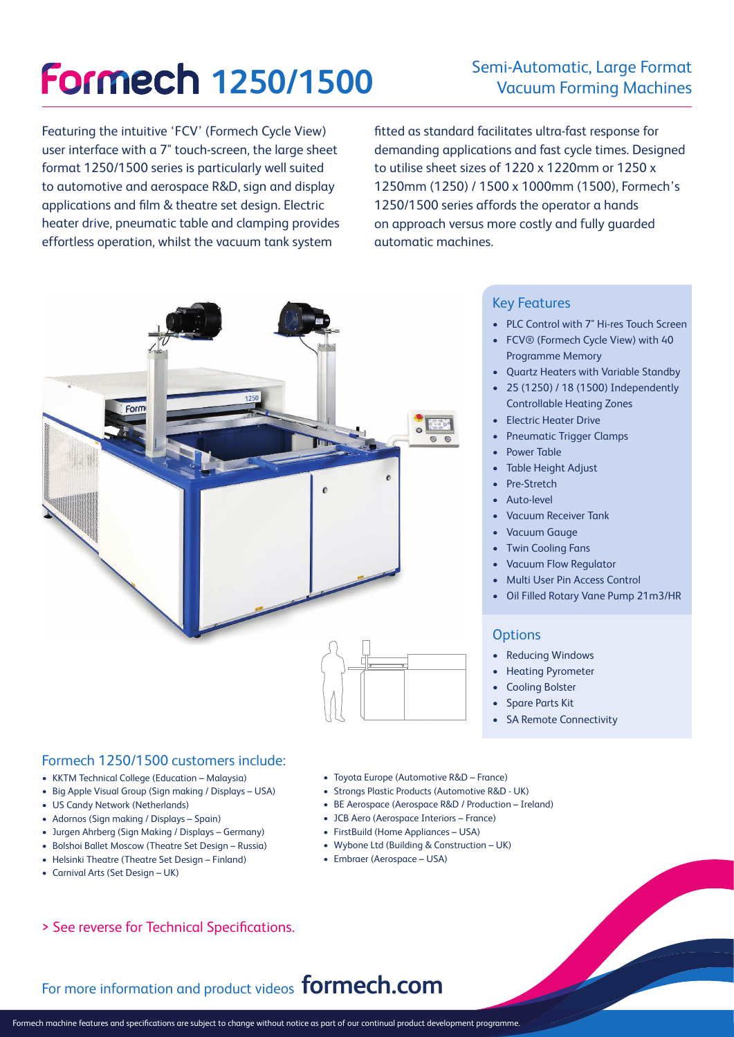# **Formech 1250/1500**

## Semi-Automatic, Large Format Vacuum Forming Machines

Featuring the intuitive 'FCV' (Formech Cycle View) user interface with a 7" touch-screen, the large sheet format 1250/1500 series is particularly well suited to automotive and aerospace R&D, sign and display applications and film & theatre set design. Electric heater drive, pneumatic table and clamping provides effortless operation, whilst the vacuum tank system

fitted as standard facilitates ultra-fast response for demanding applications and fast cycle times. Designed to utilise sheet sizes of 1220 x 1220mm or 1250 x 1250mm (1250) / 1500 x 1000mm (1500), Formech's 1250/1500 series affords the operator a hands on approach versus more costly and fully guarded automatic machines.



### Key Features

- PLC Control with 7" Hi-res Touch Screen
- FCV® (Formech Cycle View) with 40 Programme Memory
- Quartz Heaters with Variable Standby
- 25 (1250) / 18 (1500) Independently Controllable Heating Zones
- Electric Heater Drive
- Pneumatic Trigger Clamps
- Power Table
- Table Height Adjust
- Pre-Stretch
- Auto-level
- Vacuum Receiver Tank
- Vacuum Gauge
- **Twin Cooling Fans**
- Vacuum Flow Regulator
- Multi User Pin Access Control
- Oil Filled Rotary Vane Pump 21m3/HR

#### **Options**

- Reducing Windows
- Heating Pyrometer
- Cooling Bolster
- Spare Parts Kit
- SA Remote Connectivity

#### Formech 1250/1500 customers include:

- KKTM Technical College (Education Malaysia)
- Big Apple Visual Group (Sign making / Displays USA)
- US Candy Network (Netherlands)
- Adornos (Sign making / Displays Spain)
- Jurgen Ahrberg (Sign Making / Displays Germany)
- Bolshoi Ballet Moscow (Theatre Set Design Russia)
- Helsinki Theatre (Theatre Set Design Finland)
- Carnival Arts (Set Design UK)
- Toyota Europe (Automotive R&D France)
- Strongs Plastic Products (Automotive R&D UK)
- BE Aerospace (Aerospace R&D / Production Ireland)
- JCB Aero (Aerospace Interiors France)
- FirstBuild (Home Appliances USA)
- Wybone Ltd (Building & Construction UK)
- Embraer (Aerospace USA)

> See reverse for Technical Specifications.

## For more information and product videos **formech.com**